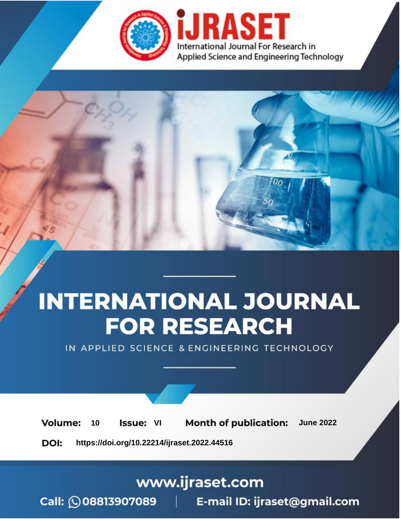

# **INTERNATIONAL JOURNAL FOR RESEARCH**

IN APPLIED SCIENCE & ENGINEERING TECHNOLOGY

**Month of publication: Volume:** 10 **Issue: VI June 2022** 

DOI: https://doi.org/10.22214/ijraset.2022.44516

www.ijraset.com

Call: 008813907089 | E-mail ID: ijraset@gmail.com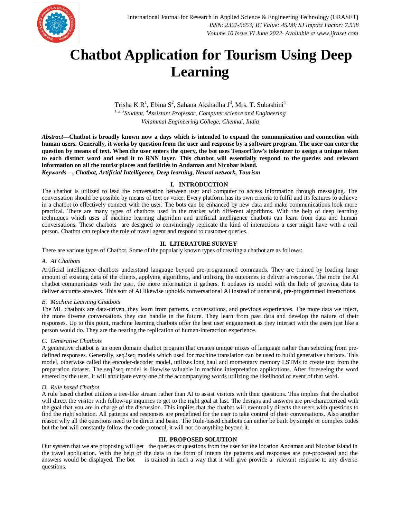

### **Chatbot Application for Tourism Using Deep Learning**

Trisha K R<sup>1</sup>, Ebina S<sup>2</sup>, Sahana Akshadha J<sup>3</sup>, Mrs. T. Subashini<sup>4</sup> *1, 2, 3Student, <sup>4</sup>Assistant Professor, Computer science and Engineering Velammal Engineering College, Chennai, India*

*Abstract***—Chatbot is broadly known now a days which is intended to expand the communication and connection with human users. Generally, it works by question from the user and response by a software program. The user can enter the question by means of text. When the user enters the query, the bot uses TensorFlow's tokenizer to assign a unique token to each distinct word and send it to RNN layer. This chatbot will essentially respond to the queries and relevant information on all the tourist places and facilities in Andaman and Nicobar island.**

*Keywords—, Chatbot, Artificial Intelligence, Deep learning, Neural network, Tourism*

#### **I. INTRODUCTION**

The chatbot is utilized to lead the conversation between user and computer to access information through messaging. The conversation should be possible by means of text or voice. Every platform has its own criteria to fulfil and its features to achieve in a chatbot to effectively connect with the user. The bots can be enhanced by new data and make communications look more practical. There are many types of chatbots used in the market with different algorithms. With the help of deep learning techniques which uses of machine learning algorithm and artificial intelligence chatbots can learn from data and human conversations. These chatbots are designed to convincingly replicate the kind of interactions a user might have with a real person. Chatbot can replace the role of travel agent and respond to customer queries.

#### **II. LITERATURE SURVEY**

There are various types of Chatbot. Some of the popularly known types of creating a chatbot are as follows:

#### *A. AI Chatbots*

Artificial intelligence chatbots understand language beyond pre-programmed commands. They are trained by loading large amount of existing data of the clients, applying algorithms, and utilizing the outcomes to deliver a response. The more the AI chatbot communicates with the user, the more information it gathers. It updates its model with the help of growing data to deliver accurate answers. This sort of AI likewise upholds conversational AI instead of unnatural, pre-programmed interactions.

#### *B. Machine Learning Chatbots*

The ML chatbots are data-driven, they learn from patterns, conversations, and previous experiences. The more data we inject, the more diverse conversations they can handle in the future. They learn from past data and develop the nature of their responses. Up to this point, machine learning chatbots offer the best user engagement as they interact with the users just like a person would do. They are the nearing the replication of human-interaction experience.

#### *C. Generative Chatbots*

A generative chatbot is an open domain chatbot program that creates unique mixes of language rather than selecting from predefined responses. Generally, seq2seq models which used for machine translation can be used to build generative chatbots. This model, otherwise called the encoder-decoder model, utilizes long haul and momentary memory LSTMs to create text from the preparation dataset. The seq2seq model is likewise valuable in machine interpretation applications. After foreseeing the word entered by the user, it will anticipate every one of the accompanying words utilizing the likelihood of event of that word.

#### *D. Rule based Chatbot*

A rule based chatbot utilizes a tree-like stream rather than AI to assist visitors with their questions. This implies that the chatbot will direct the visitor with follow-up inquiries to get to the right goal at last. The designs and answers are pre-characterized with the goal that you are in charge of the discussion. This implies that the chatbot will eventually directs the users with questions to find the right solution. All patterns and responses are predefined for the user to take control of their conversations. Also another reason why all the questions need to be direct and basic. The Rule-based chatbots can either be built by simple or complex codes but the bot will constantly follow the code protocol, it will not do anything beyond it.

#### **III. PROPOSED SOLUTION**

Our system that we are proposing will get the queries or questions from the user for the location Andaman and Nicobar island in the travel application. With the help of the data in the form of intents the patterns and responses are pre-processed and the answers would be displayed. The bot is trained in such a way that it will give provide a relevant response to any diverse questions.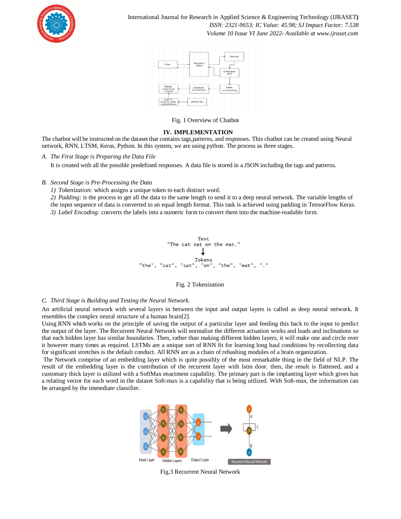

International Journal for Research in Applied Science & Engineering Technology (IJRASET**)**  *ISSN: 2321-9653; IC Value: 45.98; SJ Impact Factor: 7.538 Volume 10 Issue VI June 2022- Available at www.ijraset.com*



#### Fig. 1 Overview of Chatbot

#### **IV. IMPLEMENTATION**

The chatbot will be instructed on the dataset that contains tags,patterns, and responses. This chatbot can be created using Neural network, RNN, LTSM, Keras, Python. In this system, we are using python. The process as three stages.

It is created with all the possible predefined responses. A data file is stored in a JSON including the tags and patterns.

#### *B. Second Stage is Pre-Processing the Data*

*1) Tokenization:* which assigns a unique token to each distinct word.

*2) Padding:* is the process to get all the data to the same length to send it to a deep neural network. The variable lengths of the input sequence of data is converted to an equal length format. This task is achieved using padding in TensorFlow Keras. *3) Label Encoding:* converts the labels into a numeric form to convert them into the machine-readable form.



#### Fig. 2 Tokenization

#### *C. Third Stage is Building and Testing the Neural Network.*

An artificial neural network with several layers in between the input and output layers is called as deep neural network. It resembles the complex neural structure of a human brain[2].

Using RNN which works on the principle of saving the output of a particular layer and feeding this back to the input to predict the output of the layer. The Recurrent Neural Network will normalize the different actuation works and loads and inclinations so that each hidden layer has similar boundaries. Then, rather than making different hidden layers, it will make one and circle over it however many times as required. LSTMs are a unique sort of RNN fit for learning long haul conditions by recollecting data for significant stretches is the default conduct. All RNN are as a chain of rehashing modules of a brain organization.

The Network comprise of an embedding layer which is quite possibly of the most remarkable thing in the field of NLP. The result of the embedding layer is the contribution of the recurrent layer with lstm door. then, the result is flattened, and a customary thick layer is utilized with a SoftMax enactment capability. The primary part is the implanting layer which gives has a relating vector for each word in the dataset Soft-max is a capability that is being utilized. With Soft-max, the information can be arranged by the immediate classifier.



Fig.3 Recurrent Neural Network

*A. The First Stage is Preparing the Data File*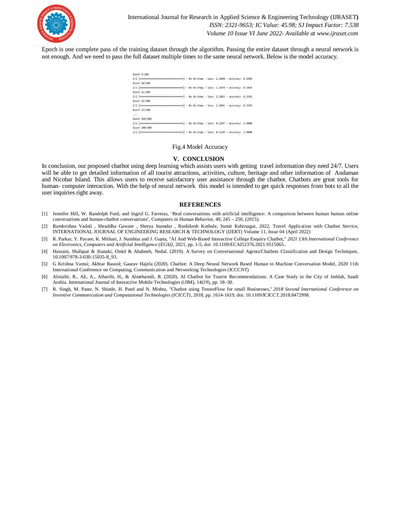

Epoch is one complete pass of the training dataset through the algorithm. Passing the entire dataset through a neural network is not enough. And we need to pass the full dataset multiple times to the same neural network. Below is the model accuracy.

| Epoch 9/200                                                                           |
|---------------------------------------------------------------------------------------|
| 2/2 [================================] - 0s 0s/step - loss: 2.2898 - accuracy: 0.2609 |
| Epoch 10/200                                                                          |
| 2/2 [===============================] - 0s 0s/step - loss: 2.2879 - accuracy: 0.2826  |
| Epoch 11/200                                                                          |
| 2/2 [===============================] - 0s 0s/step - loss: 2.2862 - accuracy: 0.2391  |
| Epoch 12/200                                                                          |
| 2/2 [===============================] - 0s 0s/step - loss: 2.2841 - accuracy: 0.2391  |
| Epoch 13/200                                                                          |
| $\cdots$                                                                              |
| Epoch 199/200                                                                         |
| 2/2 [==============================] - 0s 0s/step - loss: 0.2207 - accuracy: 1.0000   |
| Epoch 200/200                                                                         |
| 2/2 [==============================] - 0s 0s/step - loss: 0.2195 - accuracy: 1.0000   |

#### Fig.4 Model Accuracy

#### **V. CONCLUSION**

In conclusion, our proposed chatbot using deep learning which assists users with getting travel information they need 24/7. Users will be able to get detailed information of all tourist attractions, activities, culture, heritage and other information of Andaman and Nicobar Island. This allows users to receive satisfactory user assistance through the chatbot. Chatbots are great tools for human- computer interaction. With the help of neural network this model is intended to get quick responses from bots to all the user inquiries right away.

#### **REFERENCES**

- [1] Jennifer Hill, W. Randolph Ford, and Ingrid G. Farreras, 'Real conversations with artificial intelligence: A comparison between human human online conversations and human-chatbot conversations', Computers in Human Behavior, 49, 245 – 250, (2015).
- [2] Ramkrishna Vadali , Shraddha Gaware , Shreya Inamdar , Rushikesh Kothule, Sumit Kshirsagar, 2022, Travel Application with Chatbot Service, INTERNATIONAL JOURNAL OF ENGINEERING RESEARCH & TECHNOLOGY (IJERT) Volume 11, Issue 04 (April 2022)
- [3] R. Parkar, Y. Payare, K. Mithari, J. Nambiar and J. Gupta, "AI And Web-Based Interactive College Enquiry Chatbot," *2021 13th International Conference on Electronics, Computers and Artificial Intelligence (ECAI)*, 2021, pp. 1-5, doi: 10.1109/ECAI52376.2021.9515065..
- [4] Hussain, Shafquat & Sianaki, Omid & Ababneh, Nedal. (2019). A Survey on Conversational Agents/Chatbots Classification and Design Techniques. 10.1007/978-3-030-15035-8\_93.
- [5] G Krishna Vamsi; Akhtar Rasool; Gaurav Hajela (2020). Chatbot: A Deep Neural Network Based Human to Machine Conversation Model, 2020 11th International Conference on Computing, Communication and Networking Technologies (ICCCNT)
- [6] Alotaibi, R., Ali, A., Alharthi, H., & Almehamdi, R. (2020). AI Chatbot for Tourist Recommendations: A Case Study in the City of Jeddah, Saudi Arabia. International Journal of Interactive Mobile Technologies (iJIM), 14(19), pp. 18–30.
- [7] R. Singh, M. Paste, N. Shinde, H. Patel and N. Mishra, "Chatbot using TensorFlow for small Businesses," *2018 Second International Conference on Inventive Communication and Computational Technologies (ICICCT)*, 2018, pp. 1614-1619, doi: 10.1109/ICICCT.2018.8472998.